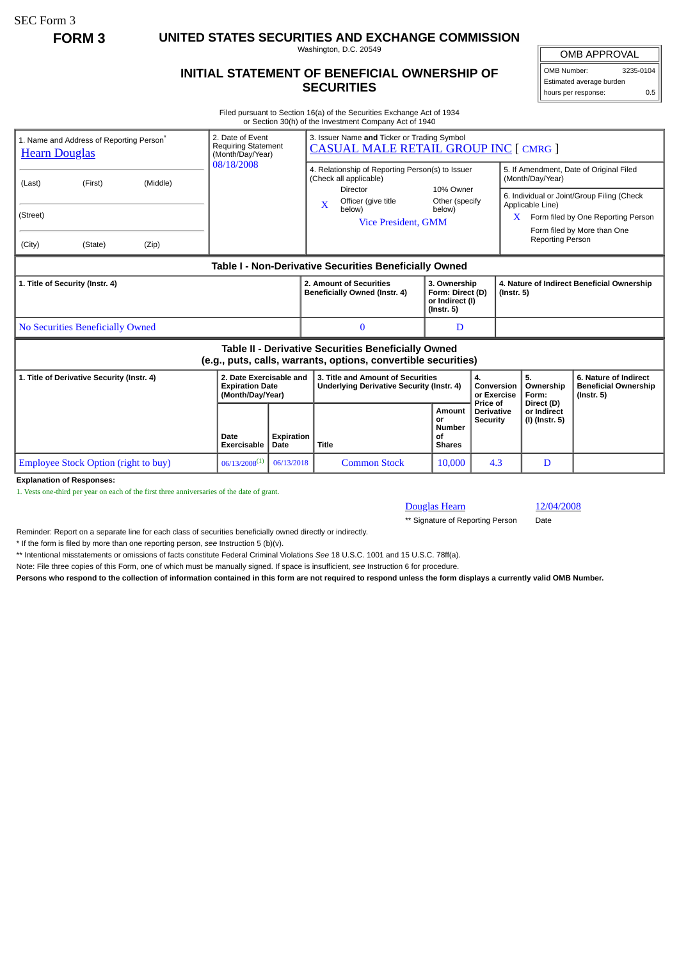SEC Form 3

**FORM 3 UNITED STATES SECURITIES AND EXCHANGE COMMISSION**

Washington, D.C. 20549

## **INITIAL STATEMENT OF BENEFICIAL OWNERSHIP OF SECURITIES**

OMB APPROVAL OMB Number: 3235-0104 Estimated average burden hours per response: 0.5

Filed pursuant to Section 16(a) of the Securities Exchange Act of 1934 or Section 30(h) of the Investment Company Act of 1940

| 1. Name and Address of Reporting Person <sup>®</sup><br><b>Hearn Douglas</b>                                                 |                     |       | 2. Date of Event<br><b>Requiring Statement</b><br>(Month/Day/Year)    |                           | 3. Issuer Name and Ticker or Trading Symbol<br><b>CASUAL MALE RETAIL GROUP INC [ CMRG ]</b>   |                                                                         |                                                  |                                                                                                           |                                                                          |  |
|------------------------------------------------------------------------------------------------------------------------------|---------------------|-------|-----------------------------------------------------------------------|---------------------------|-----------------------------------------------------------------------------------------------|-------------------------------------------------------------------------|--------------------------------------------------|-----------------------------------------------------------------------------------------------------------|--------------------------------------------------------------------------|--|
| (Last)                                                                                                                       | (Middle)<br>(First) |       | 08/18/2008                                                            |                           | 4. Relationship of Reporting Person(s) to Issuer<br>(Check all applicable)                    |                                                                         |                                                  | 5. If Amendment, Date of Original Filed<br>(Month/Day/Year)                                               |                                                                          |  |
| (Street)                                                                                                                     |                     |       |                                                                       |                           | <b>Director</b><br>Officer (give title<br>$\mathbf x$<br>below)<br><b>Vice President, GMM</b> | 10% Owner<br>Other (specify<br>below)                                   |                                                  | 6. Individual or Joint/Group Filing (Check<br>Applicable Line)<br>Form filed by One Reporting Person<br>X |                                                                          |  |
| (City)                                                                                                                       | (State)             | (Zip) |                                                                       |                           |                                                                                               |                                                                         |                                                  | Form filed by More than One<br>Reporting Person                                                           |                                                                          |  |
| Table I - Non-Derivative Securities Beneficially Owned                                                                       |                     |       |                                                                       |                           |                                                                                               |                                                                         |                                                  |                                                                                                           |                                                                          |  |
| 1. Title of Security (Instr. 4)                                                                                              |                     |       |                                                                       |                           | 2. Amount of Securities<br>Beneficially Owned (Instr. 4)                                      | 3. Ownership<br>Form: Direct (D)<br>or Indirect (I)<br>$($ Instr. 5 $)$ |                                                  | 4. Nature of Indirect Beneficial Ownership<br>$($ Instr. 5 $)$                                            |                                                                          |  |
| No Securities Beneficially Owned                                                                                             |                     |       |                                                                       |                           | 0                                                                                             | D                                                                       |                                                  |                                                                                                           |                                                                          |  |
| <b>Table II - Derivative Securities Beneficially Owned</b><br>(e.g., puts, calls, warrants, options, convertible securities) |                     |       |                                                                       |                           |                                                                                               |                                                                         |                                                  |                                                                                                           |                                                                          |  |
| 1. Title of Derivative Security (Instr. 4)                                                                                   |                     |       | 2. Date Exercisable and<br><b>Expiration Date</b><br>(Month/Day/Year) |                           | 3. Title and Amount of Securities<br>Underlying Derivative Security (Instr. 4)                |                                                                         | 4.<br>Conversion<br>or Exercise                  | 5.<br>Ownership<br>Form:                                                                                  | 6. Nature of Indirect<br><b>Beneficial Ownership</b><br>$($ Instr. 5 $)$ |  |
|                                                                                                                              |                     |       | Date<br><b>Exercisable</b>                                            | <b>Expiration</b><br>Date | <b>Title</b>                                                                                  | <b>Amount</b><br>or<br><b>Number</b><br>οf<br><b>Shares</b>             | Price of<br><b>Derivative</b><br><b>Security</b> | Direct (D)<br>or Indirect<br>(I) (Instr. 5)                                                               |                                                                          |  |
| <b>Employee Stock Option (right to buy)</b>                                                                                  |                     |       | $06/13/2008^{(1)}$                                                    | 06/13/2018                | <b>Common Stock</b>                                                                           | 10,000                                                                  | 4.3                                              | D                                                                                                         |                                                                          |  |
| <b>Explanation of Responses:</b>                                                                                             |                     |       |                                                                       |                           |                                                                                               |                                                                         |                                                  |                                                                                                           |                                                                          |  |

**Explanation of Responses:**

1. Vests one-third per year on each of the first three anniversaries of the date of grant.

Douglas Hearn 12/04/2008

\*\* Signature of Reporting Person Date

Reminder: Report on a separate line for each class of securities beneficially owned directly or indirectly.

\* If the form is filed by more than one reporting person, *see* Instruction 5 (b)(v).

\*\* Intentional misstatements or omissions of facts constitute Federal Criminal Violations *See* 18 U.S.C. 1001 and 15 U.S.C. 78ff(a).

Note: File three copies of this Form, one of which must be manually signed. If space is insufficient, *see* Instruction 6 for procedure.

**Persons who respond to the collection of information contained in this form are not required to respond unless the form displays a currently valid OMB Number.**